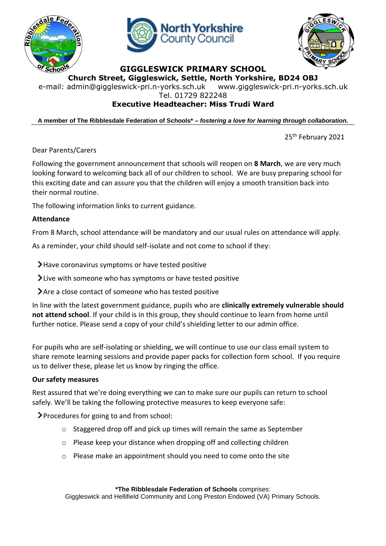





## **GIGGLESWICK PRIMARY SCHOOL**

**Church Street, Giggleswick, Settle, North Yorkshire, BD24 OBJ**

e-mail: [admin@giggleswick-pri.n-yorks.sch.uk](mailto:admin@giggleswick-pri.n-yorks.sch.uk) www.giggleswick-pri.n-yorks.sch.uk

Tel. 01729 822248

# **Executive Headteacher: Miss Trudi Ward**

**A member of The Ribblesdale Federation of Schools\* –** *fostering a love for learning through collaboration.*

25<sup>th</sup> February 2021

Dear Parents/Carers

Following the government announcement that schools will reopen on **8 March**, we are very much looking forward to welcoming back all of our children to school. We are busy preparing school for this exciting date and can assure you that the children will enjoy a smooth transition back into their normal routine.

The following information links to current guidance.

#### **Attendance**

From 8 March, school attendance will be mandatory and our usual rules on attendance will apply.

As a reminder, your child should self-isolate and not come to school if they:

Have coronavirus symptoms or have tested positive

Live with someone who has symptoms or have tested positive

Are a close contact of someone who has tested positive

In line with the latest government guidance, pupils who are **clinically extremely vulnerable should not attend school**. If your child is in this group, they should continue to learn from home until further notice. Please send a copy of your child's shielding letter to our admin office.

For pupils who are self-isolating or shielding, we will continue to use our class email system to share remote learning sessions and provide paper packs for collection form school. If you require us to deliver these, please let us know by ringing the office.

#### **Our safety measures**

Rest assured that we're doing everything we can to make sure our pupils can return to school safely. We'll be taking the following protective measures to keep everyone safe:

Procedures for going to and from school:

- o Staggered drop off and pick up times will remain the same as September
- o Please keep your distance when dropping off and collecting children
- o Please make an appointment should you need to come onto the site

**\*The Ribblesdale Federation of Schools** comprises:

Giggleswick and Hellifield Community and Long Preston Endowed (VA) Primary Schools.